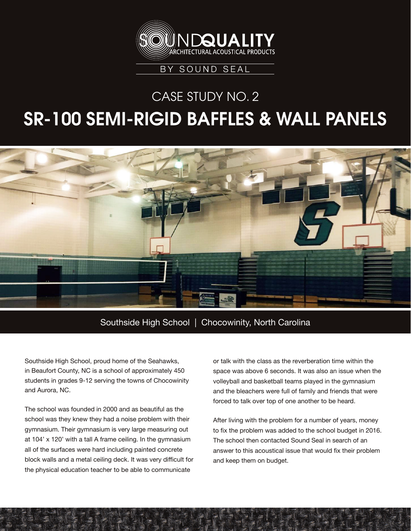

## CASE STUDY NO. 2

## SR-100 SEMI-RIGID BAFFLES & WALL PANELS



## Southside High School | Chocowinity, North Carolina

Southside High School, proud home of the Seahawks, in Beaufort County, NC is a school of approximately 450 students in grades 9-12 serving the towns of Chocowinity and Aurora, NC.

The school was founded in 2000 and as beautiful as the school was they knew they had a noise problem with their gymnasium. Their gymnasium is very large measuring out at 104' x 120' with a tall A frame ceiling. In the gymnasium all of the surfaces were hard including painted concrete block walls and a metal ceiling deck. It was very difficult for the physical education teacher to be able to communicate

or talk with the class as the reverberation time within the space was above 6 seconds. It was also an issue when the volleyball and basketball teams played in the gymnasium and the bleachers were full of family and friends that were forced to talk over top of one another to be heard.

After living with the problem for a number of years, money to fix the problem was added to the school budget in 2016. The school then contacted Sound Seal in search of an answer to this acoustical issue that would fix their problem and keep them on budget.